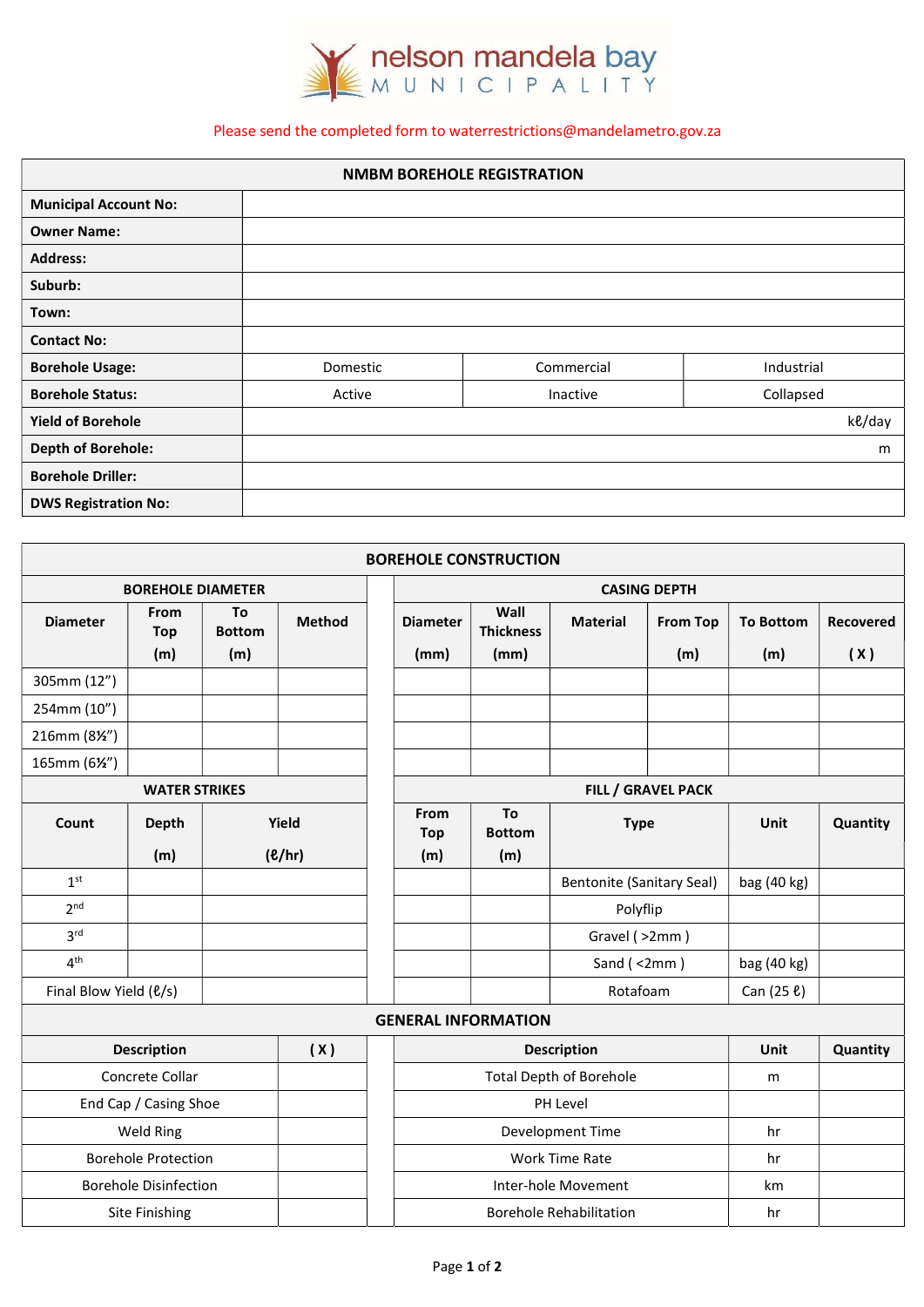

## Please send the completed form to waterrestrictions@mandelametro.gov.za

| <b>NMBM BOREHOLE REGISTRATION</b> |          |            |            |  |  |
|-----------------------------------|----------|------------|------------|--|--|
| <b>Municipal Account No:</b>      |          |            |            |  |  |
| <b>Owner Name:</b>                |          |            |            |  |  |
| <b>Address:</b>                   |          |            |            |  |  |
| Suburb:                           |          |            |            |  |  |
| Town:                             |          |            |            |  |  |
| <b>Contact No:</b>                |          |            |            |  |  |
| <b>Borehole Usage:</b>            | Domestic | Commercial | Industrial |  |  |
| <b>Borehole Status:</b>           | Active   | Inactive   | Collapsed  |  |  |
| <b>Yield of Borehole</b>          |          |            | ke/day     |  |  |
| <b>Depth of Borehole:</b>         |          |            | m          |  |  |
| <b>Borehole Driller:</b>          |          |            |            |  |  |
| <b>DWS Registration No:</b>       |          |            |            |  |  |

|                               |                              |                            |                           | <b>BOREHOLE CONSTRUCTION</b>   |                                      |                                  |                           |                         |                         |
|-------------------------------|------------------------------|----------------------------|---------------------------|--------------------------------|--------------------------------------|----------------------------------|---------------------------|-------------------------|-------------------------|
| <b>BOREHOLE DIAMETER</b>      |                              |                            | <b>CASING DEPTH</b>       |                                |                                      |                                  |                           |                         |                         |
| <b>Diameter</b>               | From<br>Top<br>(m)           | To<br><b>Bottom</b><br>(m) | Method                    | <b>Diameter</b><br>(mm)        | Wall<br><b>Thickness</b><br>(mm)     | <b>Material</b>                  | <b>From Top</b><br>(m)    | <b>To Bottom</b><br>(m) | <b>Recovered</b><br>(X) |
| 305mm (12")                   |                              |                            |                           |                                |                                      |                                  |                           |                         |                         |
| 254mm (10")                   |                              |                            |                           |                                |                                      |                                  |                           |                         |                         |
| 216mm (8½")                   |                              |                            |                           |                                |                                      |                                  |                           |                         |                         |
| 165mm (6½")                   |                              |                            |                           |                                |                                      |                                  |                           |                         |                         |
|                               | <b>WATER STRIKES</b>         |                            |                           |                                |                                      |                                  | <b>FILL / GRAVEL PACK</b> |                         |                         |
| Count                         | <b>Depth</b><br>(m)          |                            | Yield<br>$($ <i>l</i> $)$ | From<br><b>Top</b><br>(m)      | To<br><b>Bottom</b><br>(m)           | <b>Type</b>                      |                           | Unit                    | Quantity                |
| 1 <sup>st</sup>               |                              |                            |                           |                                |                                      | <b>Bentonite (Sanitary Seal)</b> |                           | bag (40 kg)             |                         |
| 2 <sup>nd</sup>               |                              |                            |                           |                                |                                      | Polyflip                         |                           |                         |                         |
| 3 <sup>rd</sup>               |                              |                            |                           |                                |                                      | Gravel (>2mm)                    |                           |                         |                         |
| 4 <sup>th</sup>               |                              |                            |                           |                                |                                      | Sand $($ <2mm $)$                |                           | bag (40 kg)             |                         |
| Final Blow Yield ( $\ell/s$ ) |                              |                            |                           |                                |                                      | Rotafoam                         |                           | Can (25 ℓ)              |                         |
|                               |                              |                            |                           | <b>GENERAL INFORMATION</b>     |                                      |                                  |                           |                         |                         |
|                               | <b>Description</b>           |                            | (X)                       |                                |                                      | <b>Description</b>               |                           | Unit                    | Quantity                |
|                               | Concrete Collar              |                            |                           | <b>Total Depth of Borehole</b> |                                      | m                                |                           |                         |                         |
|                               | End Cap / Casing Shoe        |                            |                           |                                | PH Level                             |                                  |                           |                         |                         |
|                               | Weld Ring                    |                            |                           | Development Time               |                                      | hr                               |                           |                         |                         |
|                               | <b>Borehole Protection</b>   |                            |                           |                                | <b>Work Time Rate</b><br>hr          |                                  |                           |                         |                         |
|                               | <b>Borehole Disinfection</b> |                            |                           |                                | Inter-hole Movement<br>km            |                                  |                           |                         |                         |
|                               | Site Finishing               |                            |                           |                                | <b>Borehole Rehabilitation</b><br>hr |                                  |                           |                         |                         |
|                               |                              |                            |                           |                                |                                      |                                  |                           |                         |                         |